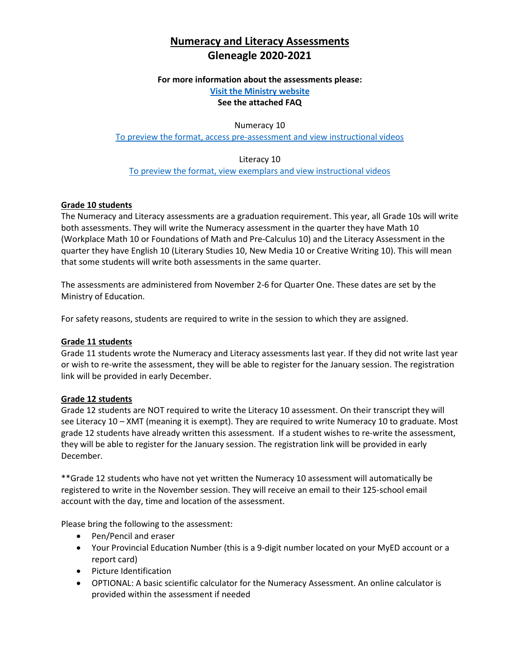# **Numeracy and Literacy Assessments Gleneagle 2020-2021**

#### **For more information about the assessments please:**

**[Visit the Ministry website](https://www2.gov.bc.ca/gov/content/education-training/k-12/support/curriculum-and-assessment/assessments/graduation) See the attached FAQ** 

Numeracy 10

[To preview the format, access pre-assessment and view instructional videos](https://curriculum.gov.bc.ca/assessment/grade-10-numeracy-assessment)

Literacy 10 [To preview the format, view exemplars and](https://curriculum.gov.bc.ca/assessment/literacy-assessment/grade-10-literacy-assessment) view instructional videos

### **Grade 10 students**

The Numeracy and Literacy assessments are a graduation requirement. This year, all Grade 10s will write both assessments. They will write the Numeracy assessment in the quarter they have Math 10 (Workplace Math 10 or Foundations of Math and Pre-Calculus 10) and the Literacy Assessment in the quarter they have English 10 (Literary Studies 10, New Media 10 or Creative Writing 10). This will mean that some students will write both assessments in the same quarter.

The assessments are administered from November 2-6 for Quarter One. These dates are set by the Ministry of Education.

For safety reasons, students are required to write in the session to which they are assigned.

#### **Grade 11 students**

Grade 11 students wrote the Numeracy and Literacy assessments last year. If they did not write last year or wish to re-write the assessment, they will be able to register for the January session. The registration link will be provided in early December.

#### **Grade 12 students**

Grade 12 students are NOT required to write the Literacy 10 assessment. On their transcript they will see Literacy 10 – XMT (meaning it is exempt). They are required to write Numeracy 10 to graduate. Most grade 12 students have already written this assessment. If a student wishes to re-write the assessment, they will be able to register for the January session. The registration link will be provided in early December.

\*\*Grade 12 students who have not yet written the Numeracy 10 assessment will automatically be registered to write in the November session. They will receive an email to their 125-school email account with the day, time and location of the assessment.

Please bring the following to the assessment:

- Pen/Pencil and eraser
- Your Provincial Education Number (this is a 9-digit number located on your MyED account or a report card)
- Picture Identification
- OPTIONAL: A basic scientific calculator for the Numeracy Assessment. An online calculator is provided within the assessment if needed